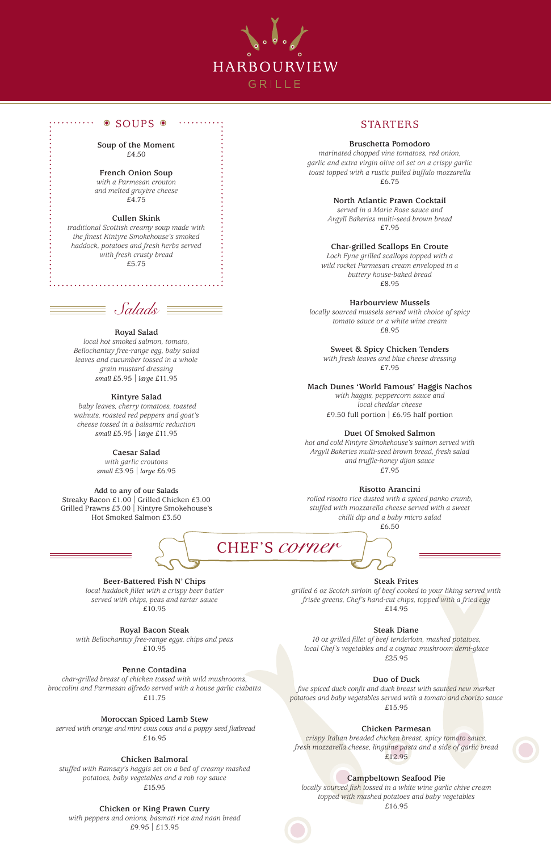**Soup of the Moment** £4.50

# **French Onion Soup**

*with a Parmesan crouton and melted gruyère cheese* £4.75

#### **Cullen Skink**

*traditional Scottish creamy soup made with the finest Kintyre Smokehouse's smoked haddock, potatoes and fresh herbs served with fresh crusty bread* £5.75



# SOUPS STARTERS

#### **Bruschetta Pomodoro**

*marinated chopped vine tomatoes, red onion, garlic and extra virgin olive oil set on a crispy garlic toast topped with a rustic pulled buffalo mozzarella* £6.75

> *with haggis, peppercorn sauce and local cheddar cheese* £9.50 full portion  $\vert$  £6.95 half portion

# **North Atlantic Prawn Cocktail**

*served in a Marie Rose sauce and Argyll Bakeries multi-seed brown bread* £7.95

**Char-grilled Scallops En Croute**

*Loch Fyne grilled scallops topped with a wild rocket Parmesan cream enveloped in a buttery house-baked bread* £8.95

**Harbourview Mussels**

*locally sourced mussels served with choice of spicy tomato sauce or a white wine cream* £8.95

**Sweet & Spicy Chicken Tenders**

*with fresh leaves and blue cheese dressing*  £7.95

#### **Mach Dunes 'World Famous' Haggis Nachos**

#### **Duet Of Smoked Salmon**

*hot and cold Kintyre Smokehouse's salmon served with Argyll Bakeries multi-seed brown bread, fresh salad and truffle-honey dijon sauce* £7.95

#### **Risotto Arancini**

*rolled risotto rice dusted with a spiced panko crumb, stuffed with mozzarella cheese served with a sweet chilli dip and a baby micro salad*  £6.50



#### **Royal Salad**

*local hot smoked salmon, tomato, Bellochantuy free-range egg, baby salad leaves and cucumber tossed in a whole grain mustard dressing small* £5.95 *| large* £11.95

#### **Kintyre Salad**

 *baby leaves, cherry tomatoes, toasted walnuts, roasted red peppers and goat's cheese tossed in a balsamic reduction small* £5.95 *| large* £11.95

#### **Caesar Salad**

*with garlic croutons small* £3.95 *| large* £6.95

#### **Add to any of our Salads**

Streaky Bacon £1.00 | Grilled Chicken £3.00 Grilled Prawns £3.00 | Kintyre Smokehouse's Hot Smoked Salmon £3.50

# **Beer-Battered Fish N' Chips**

*local haddock fillet with a crispy beer batter served with chips, peas and tartar sauce* £10.95

# **Royal Bacon Steak** *with Bellochantuy free-range eggs, chips and peas* £10.95

# **Penne Contadina**

*char-grilled breast of chicken tossed with wild mushrooms, broccolini and Parmesan alfredo served with a house garlic ciabatta* £11.75

# **Moroccan Spiced Lamb Stew**

 *served with orange and mint cous cous and a poppy seed flatbread*  £16.95

# **Chicken Balmoral**

*stuffed with Ramsay's haggis set on a bed of creamy mashed potatoes, baby vegetables and a rob roy sauce* £15.95

# **Chicken or King Prawn Curry**

*with peppers and onions, basmati rice and naan bread*  £9.95 | £13.95

**Steak Frites**

*grilled 6 oz Scotch sirloin of beef cooked to your liking served with frisée greens, Chef's hand-cut chips, topped with a fried egg*  £14.95

# **Steak Diane**

*10 oz grilled fillet of beef tenderloin, mashed potatoes, local Chef's vegetables and a cognac mushroom demi-glace* £25.95

# **Duo of Duck**

*five spiced duck confit and duck breast with sautéed new market potatoes and baby vegetables served with a tomato and chorizo sauce*

£15.95

# **Chicken Parmesan**

*crispy Italian breaded chicken breast, spicy tomato sauce, fresh mozzarella cheese, linguine pasta and a side of garlic bread* £12.95

# **Campbeltown Seafood Pie**

*locally sourced fish tossed in a white wine garlic chive cream topped with mashed potatoes and baby vegetables*  £16.95

CHEF'S *corner*